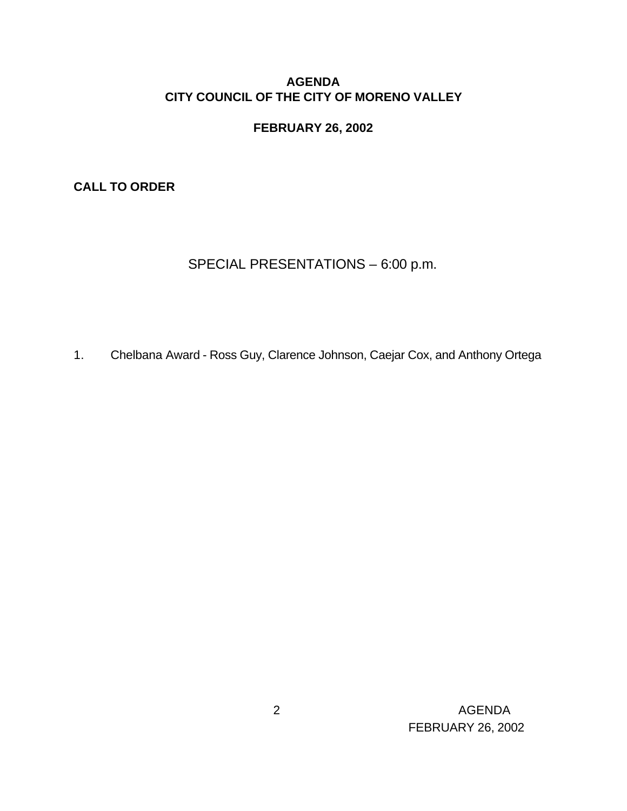### **AGENDA CITY COUNCIL OF THE CITY OF MORENO VALLEY**

#### **FEBRUARY 26, 2002**

**CALL TO ORDER**

# SPECIAL PRESENTATIONS – 6:00 p.m.

1. Chelbana Award - Ross Guy, Clarence Johnson, Caejar Cox, and Anthony Ortega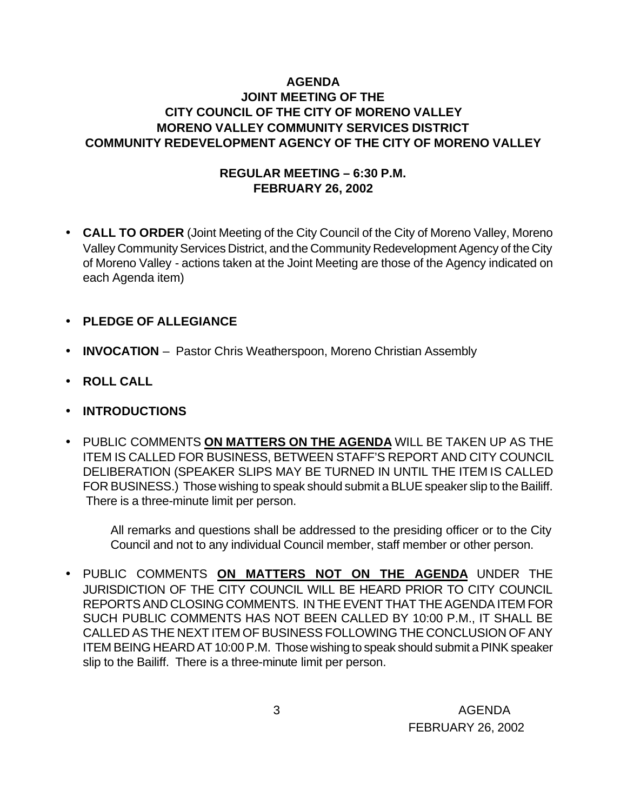# **AGENDA JOINT MEETING OF THE CITY COUNCIL OF THE CITY OF MORENO VALLEY MORENO VALLEY COMMUNITY SERVICES DISTRICT COMMUNITY REDEVELOPMENT AGENCY OF THE CITY OF MORENO VALLEY**

## **REGULAR MEETING – 6:30 P.M. FEBRUARY 26, 2002**

- **CALL TO ORDER** (Joint Meeting of the City Council of the City of Moreno Valley, Moreno Valley Community Services District, and the Community Redevelopment Agency of the City of Moreno Valley - actions taken at the Joint Meeting are those of the Agency indicated on each Agenda item)
- **PLEDGE OF ALLEGIANCE**
- **INVOCATION** Pastor Chris Weatherspoon, Moreno Christian Assembly
- **ROLL CALL**
- **INTRODUCTIONS**
- PUBLIC COMMENTS **ON MATTERS ON THE AGENDA** WILL BE TAKEN UP AS THE ITEM IS CALLED FOR BUSINESS, BETWEEN STAFF'S REPORT AND CITY COUNCIL DELIBERATION (SPEAKER SLIPS MAY BE TURNED IN UNTIL THE ITEM IS CALLED FOR BUSINESS.) Those wishing to speak should submit a BLUE speaker slip to the Bailiff. There is a three-minute limit per person.

All remarks and questions shall be addressed to the presiding officer or to the City Council and not to any individual Council member, staff member or other person.

• PUBLIC COMMENTS **ON MATTERS NOT ON THE AGENDA** UNDER THE JURISDICTION OF THE CITY COUNCIL WILL BE HEARD PRIOR TO CITY COUNCIL REPORTS AND CLOSING COMMENTS. IN THE EVENT THAT THE AGENDA ITEM FOR SUCH PUBLIC COMMENTS HAS NOT BEEN CALLED BY 10:00 P.M., IT SHALL BE CALLED AS THE NEXT ITEM OF BUSINESS FOLLOWING THE CONCLUSION OF ANY ITEM BEING HEARD AT 10:00 P.M. Those wishing to speak should submit a PINK speaker slip to the Bailiff. There is a three-minute limit per person.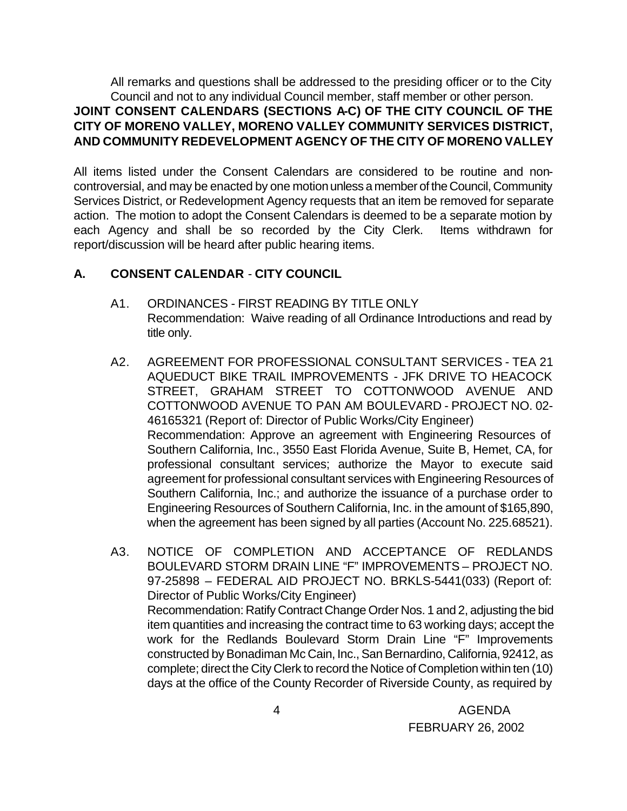All remarks and questions shall be addressed to the presiding officer or to the City Council and not to any individual Council member, staff member or other person.

# **JOINT CONSENT CALENDARS (SECTIONS A-C) OF THE CITY COUNCIL OF THE CITY OF MORENO VALLEY, MORENO VALLEY COMMUNITY SERVICES DISTRICT, AND COMMUNITY REDEVELOPMENT AGENCY OF THE CITY OF MORENO VALLEY**

All items listed under the Consent Calendars are considered to be routine and noncontroversial, and may be enacted by one motion unless a member of the Council, Community Services District, or Redevelopment Agency requests that an item be removed for separate action. The motion to adopt the Consent Calendars is deemed to be a separate motion by each Agency and shall be so recorded by the City Clerk. Items withdrawn for report/discussion will be heard after public hearing items.

# **A. CONSENT CALENDAR** - **CITY COUNCIL**

- A1. ORDINANCES FIRST READING BY TITLE ONLY Recommendation: Waive reading of all Ordinance Introductions and read by title only.
- A2. AGREEMENT FOR PROFESSIONAL CONSULTANT SERVICES TEA 21 AQUEDUCT BIKE TRAIL IMPROVEMENTS - JFK DRIVE TO HEACOCK STREET, GRAHAM STREET TO COTTONWOOD AVENUE AND COTTONWOOD AVENUE TO PAN AM BOULEVARD - PROJECT NO. 02- 46165321 (Report of: Director of Public Works/City Engineer) Recommendation: Approve an agreement with Engineering Resources of Southern California, Inc., 3550 East Florida Avenue, Suite B, Hemet, CA, for professional consultant services; authorize the Mayor to execute said agreement for professional consultant services with Engineering Resources of Southern California, Inc.; and authorize the issuance of a purchase order to Engineering Resources of Southern California, Inc. in the amount of \$165,890, when the agreement has been signed by all parties (Account No. 225.68521).
- A3. NOTICE OF COMPLETION AND ACCEPTANCE OF REDLANDS BOULEVARD STORM DRAIN LINE "F" IMPROVEMENTS – PROJECT NO. 97-25898 – FEDERAL AID PROJECT NO. BRKLS-5441(033) (Report of: Director of Public Works/City Engineer) Recommendation: Ratify Contract Change Order Nos. 1 and 2, adjusting the bid item quantities and increasing the contract time to 63 working days; accept the work for the Redlands Boulevard Storm Drain Line "F" Improvements constructed by Bonadiman Mc Cain, Inc., San Bernardino, California, 92412, as complete; direct the City Clerk to record the Notice of Completion within ten (10) days at the office of the County Recorder of Riverside County, as required by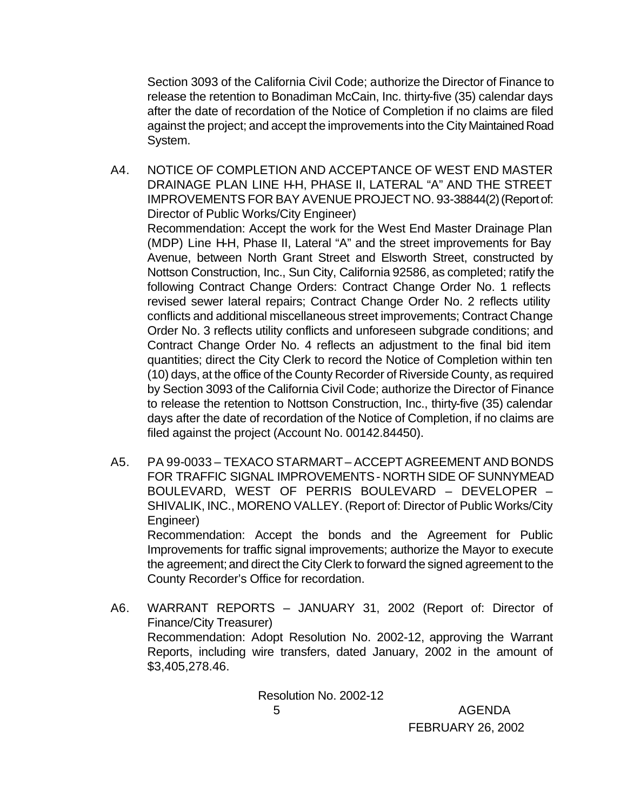Section 3093 of the California Civil Code; authorize the Director of Finance to release the retention to Bonadiman McCain, Inc. thirty-five (35) calendar days after the date of recordation of the Notice of Completion if no claims are filed against the project; and accept the improvements into the City Maintained Road System.

- A4. NOTICE OF COMPLETION AND ACCEPTANCE OF WEST END MASTER DRAINAGE PLAN LINE H-H, PHASE II, LATERAL "A" AND THE STREET IMPROVEMENTS FOR BAY AVENUE PROJECT NO. 93-38844(2) (Report of: Director of Public Works/City Engineer) Recommendation: Accept the work for the West End Master Drainage Plan (MDP) Line H-H, Phase II, Lateral "A" and the street improvements for Bay Avenue, between North Grant Street and Elsworth Street, constructed by Nottson Construction, Inc., Sun City, California 92586, as completed; ratify the following Contract Change Orders: Contract Change Order No. 1 reflects revised sewer lateral repairs; Contract Change Order No. 2 reflects utility conflicts and additional miscellaneous street improvements; Contract Change Order No. 3 reflects utility conflicts and unforeseen subgrade conditions; and Contract Change Order No. 4 reflects an adjustment to the final bid item quantities; direct the City Clerk to record the Notice of Completion within ten (10) days, at the office of the County Recorder of Riverside County, as required by Section 3093 of the California Civil Code; authorize the Director of Finance to release the retention to Nottson Construction, Inc., thirty-five (35) calendar days after the date of recordation of the Notice of Completion, if no claims are filed against the project (Account No. 00142.84450).
- A5. PA 99-0033 TEXACO STARMART ACCEPT AGREEMENT AND BONDS FOR TRAFFIC SIGNAL IMPROVEMENTS - NORTH SIDE OF SUNNYMEAD BOULEVARD, WEST OF PERRIS BOULEVARD – DEVELOPER – SHIVALIK, INC., MORENO VALLEY. (Report of: Director of Public Works/City Engineer) Recommendation: Accept the bonds and the Agreement for Public Improvements for traffic signal improvements; authorize the Mayor to execute the agreement; and direct the City Clerk to forward the signed agreement to the
- A6. WARRANT REPORTS JANUARY 31, 2002 (Report of: Director of Finance/City Treasurer) Recommendation: Adopt Resolution No. 2002-12, approving the Warrant Reports, including wire transfers, dated January, 2002 in the amount of \$3,405,278.46.

County Recorder's Office for recordation.

 5 AGENDA Resolution No. 2002-12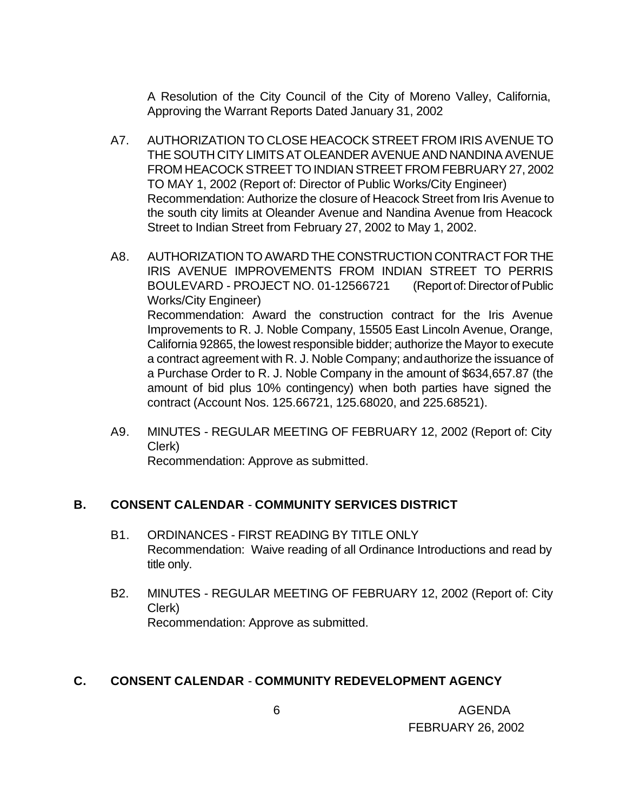A Resolution of the City Council of the City of Moreno Valley, California, Approving the Warrant Reports Dated January 31, 2002

- A7. AUTHORIZATION TO CLOSE HEACOCK STREET FROM IRIS AVENUE TO THE SOUTH CITY LIMITS AT OLEANDER AVENUE AND NANDINA AVENUE FROM HEACOCK STREET TO INDIAN STREET FROM FEBRUARY 27, 2002 TO MAY 1, 2002 (Report of: Director of Public Works/City Engineer) Recommendation: Authorize the closure of Heacock Street from Iris Avenue to the south city limits at Oleander Avenue and Nandina Avenue from Heacock Street to Indian Street from February 27, 2002 to May 1, 2002.
- A8. AUTHORIZATION TO AWARD THE CONSTRUCTION CONTRACT FOR THE IRIS AVENUE IMPROVEMENTS FROM INDIAN STREET TO PERRIS BOULEVARD - PROJECT NO. 01-12566721 (Report of: Director of Public Works/City Engineer) Recommendation: Award the construction contract for the Iris Avenue Improvements to R. J. Noble Company, 15505 East Lincoln Avenue, Orange, California 92865, the lowest responsible bidder; authorize the Mayor to execute a contract agreement with R. J. Noble Company; and authorize the issuance of a Purchase Order to R. J. Noble Company in the amount of \$634,657.87 (the amount of bid plus 10% contingency) when both parties have signed the contract (Account Nos. 125.66721, 125.68020, and 225.68521).
- A9. MINUTES REGULAR MEETING OF FEBRUARY 12, 2002 (Report of: City Clerk)

Recommendation: Approve as submitted.

### **B. CONSENT CALENDAR** - **COMMUNITY SERVICES DISTRICT**

- B1. ORDINANCES FIRST READING BY TITLE ONLY Recommendation: Waive reading of all Ordinance Introductions and read by title only.
- B2. MINUTES REGULAR MEETING OF FEBRUARY 12, 2002 (Report of: City Clerk) Recommendation: Approve as submitted.

#### **C. CONSENT CALENDAR** - **COMMUNITY REDEVELOPMENT AGENCY**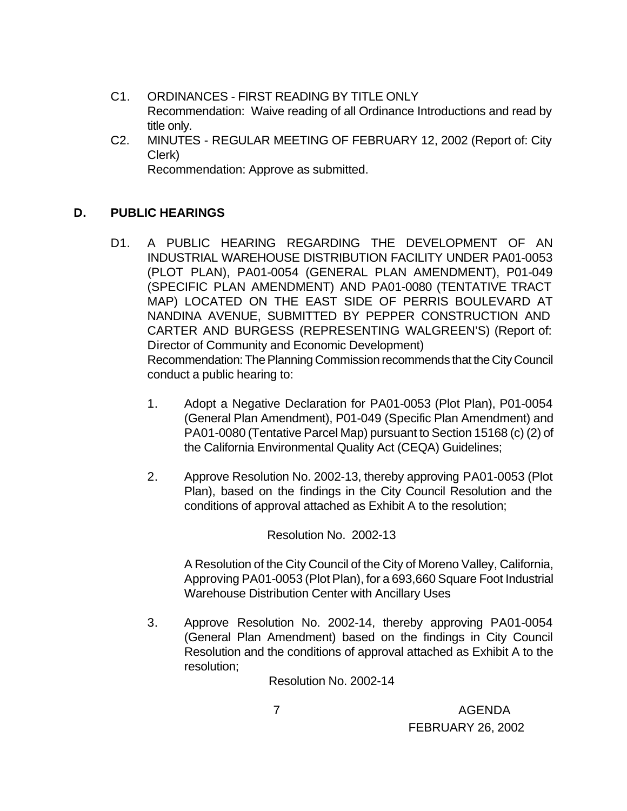- C1. ORDINANCES FIRST READING BY TITLE ONLY Recommendation: Waive reading of all Ordinance Introductions and read by title only.
- C2. MINUTES REGULAR MEETING OF FEBRUARY 12, 2002 (Report of: City Clerk) Recommendation: Approve as submitted.

**D. PUBLIC HEARINGS**

- D1. A PUBLIC HEARING REGARDING THE DEVELOPMENT OF AN INDUSTRIAL WAREHOUSE DISTRIBUTION FACILITY UNDER PA01-0053 (PLOT PLAN), PA01-0054 (GENERAL PLAN AMENDMENT), P01-049 (SPECIFIC PLAN AMENDMENT) AND PA01-0080 (TENTATIVE TRACT MAP) LOCATED ON THE EAST SIDE OF PERRIS BOULEVARD AT NANDINA AVENUE, SUBMITTED BY PEPPER CONSTRUCTION AND CARTER AND BURGESS (REPRESENTING WALGREEN'S) (Report of: Director of Community and Economic Development) Recommendation: The Planning Commission recommends that the City Council conduct a public hearing to:
	- 1. Adopt a Negative Declaration for PA01-0053 (Plot Plan), P01-0054 (General Plan Amendment), P01-049 (Specific Plan Amendment) and PA01-0080 (Tentative Parcel Map) pursuant to Section 15168 (c) (2) of the California Environmental Quality Act (CEQA) Guidelines;
	- 2. Approve Resolution No. 2002-13, thereby approving PA01-0053 (Plot Plan), based on the findings in the City Council Resolution and the conditions of approval attached as Exhibit A to the resolution;

Resolution No. 2002-13

A Resolution of the City Council of the City of Moreno Valley, California, Approving PA01-0053 (Plot Plan), for a 693,660 Square Foot Industrial Warehouse Distribution Center with Ancillary Uses

3. Approve Resolution No. 2002-14, thereby approving PA01-0054 (General Plan Amendment) based on the findings in City Council Resolution and the conditions of approval attached as Exhibit A to the resolution;

Resolution No. 2002-14

 7 AGENDA FEBRUARY 26, 2002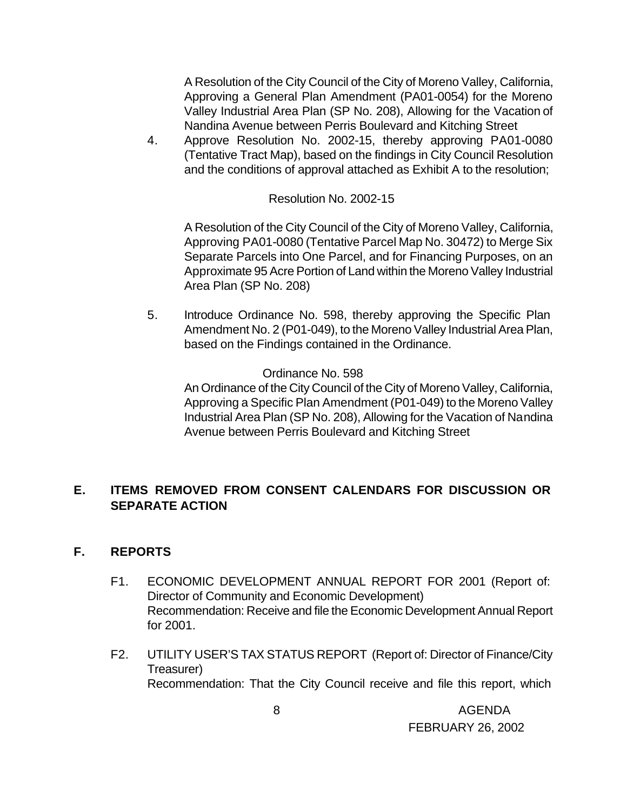A Resolution of the City Council of the City of Moreno Valley, California, Approving a General Plan Amendment (PA01-0054) for the Moreno Valley Industrial Area Plan (SP No. 208), Allowing for the Vacation of Nandina Avenue between Perris Boulevard and Kitching Street

4. Approve Resolution No. 2002-15, thereby approving PA01-0080 (Tentative Tract Map), based on the findings in City Council Resolution and the conditions of approval attached as Exhibit A to the resolution;

Resolution No. 2002-15

A Resolution of the City Council of the City of Moreno Valley, California, Approving PA01-0080 (Tentative Parcel Map No. 30472) to Merge Six Separate Parcels into One Parcel, and for Financing Purposes, on an Approximate 95 Acre Portion of Land within the Moreno Valley Industrial Area Plan (SP No. 208)

5. Introduce Ordinance No. 598, thereby approving the Specific Plan Amendment No. 2 (P01-049), to the Moreno Valley Industrial Area Plan, based on the Findings contained in the Ordinance.

Ordinance No. 598

An Ordinance of the City Council of the City of Moreno Valley, California, Approving a Specific Plan Amendment (P01-049) to the Moreno Valley Industrial Area Plan (SP No. 208), Allowing for the Vacation of Nandina Avenue between Perris Boulevard and Kitching Street

# **E. ITEMS REMOVED FROM CONSENT CALENDARS FOR DISCUSSION OR SEPARATE ACTION**

### **F. REPORTS**

- F1. ECONOMIC DEVELOPMENT ANNUAL REPORT FOR 2001 (Report of: Director of Community and Economic Development) Recommendation: Receive and file the Economic Development Annual Report for 2001.
- F2. UTILITY USER'S TAX STATUS REPORT (Report of: Director of Finance/City Treasurer) Recommendation: That the City Council receive and file this report, which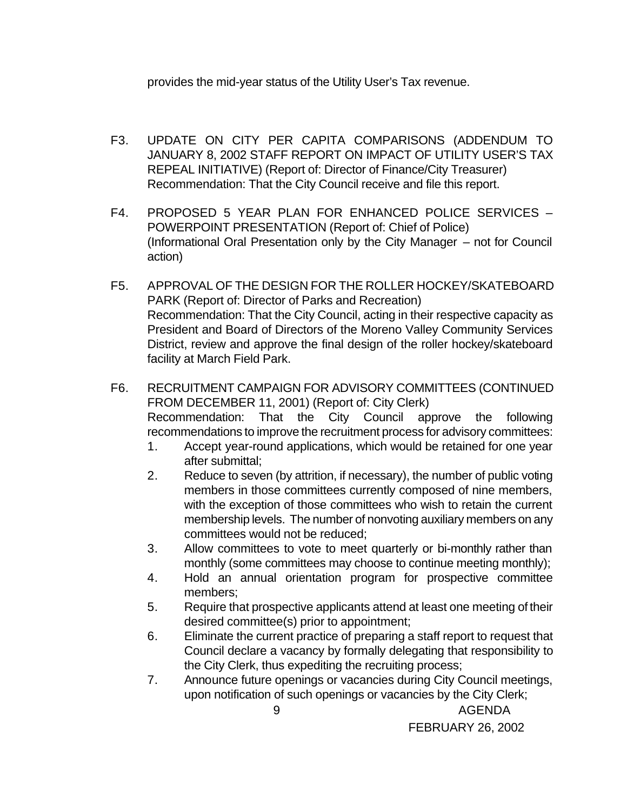provides the mid-year status of the Utility User's Tax revenue.

- F3. UPDATE ON CITY PER CAPITA COMPARISONS (ADDENDUM TO JANUARY 8, 2002 STAFF REPORT ON IMPACT OF UTILITY USER'S TAX REPEAL INITIATIVE) (Report of: Director of Finance/City Treasurer) Recommendation: That the City Council receive and file this report.
- F4. PROPOSED 5 YEAR PLAN FOR ENHANCED POLICE SERVICES POWERPOINT PRESENTATION (Report of: Chief of Police) (Informational Oral Presentation only by the City Manager – not for Council action)
- F5. APPROVAL OF THE DESIGN FOR THE ROLLER HOCKEY/SKATEBOARD PARK (Report of: Director of Parks and Recreation) Recommendation: That the City Council, acting in their respective capacity as President and Board of Directors of the Moreno Valley Community Services District, review and approve the final design of the roller hockey/skateboard facility at March Field Park.
- F6. RECRUITMENT CAMPAIGN FOR ADVISORY COMMITTEES (CONTINUED FROM DECEMBER 11, 2001) (Report of: City Clerk) Recommendation: That the City Council approve the following recommendations to improve the recruitment process for advisory committees:
	- 1. Accept year-round applications, which would be retained for one year after submittal;
	- 2. Reduce to seven (by attrition, if necessary), the number of public voting members in those committees currently composed of nine members, with the exception of those committees who wish to retain the current membership levels. The number of nonvoting auxiliary members on any committees would not be reduced;
	- 3. Allow committees to vote to meet quarterly or bi-monthly rather than monthly (some committees may choose to continue meeting monthly);
	- 4. Hold an annual orientation program for prospective committee members;
	- 5. Require that prospective applicants attend at least one meeting of their desired committee(s) prior to appointment;
	- 6. Eliminate the current practice of preparing a staff report to request that Council declare a vacancy by formally delegating that responsibility to the City Clerk, thus expediting the recruiting process;
	- 7. Announce future openings or vacancies during City Council meetings, upon notification of such openings or vacancies by the City Clerk;

 9 AGENDA FEBRUARY 26, 2002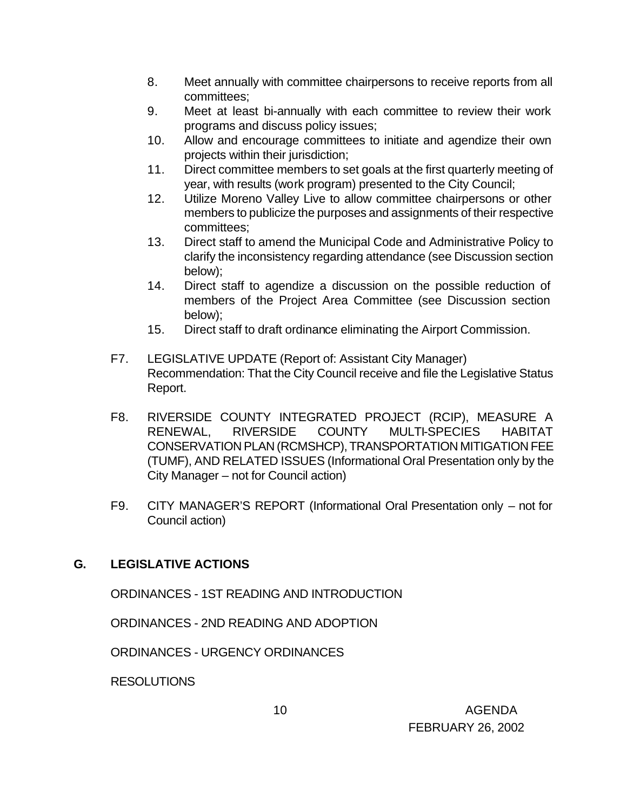- 8. Meet annually with committee chairpersons to receive reports from all committees;
- 9. Meet at least bi-annually with each committee to review their work programs and discuss policy issues;
- 10. Allow and encourage committees to initiate and agendize their own projects within their jurisdiction;
- 11. Direct committee members to set goals at the first quarterly meeting of year, with results (work program) presented to the City Council;
- 12. Utilize Moreno Valley Live to allow committee chairpersons or other members to publicize the purposes and assignments of their respective committees;
- 13. Direct staff to amend the Municipal Code and Administrative Policy to clarify the inconsistency regarding attendance (see Discussion section below);
- 14. Direct staff to agendize a discussion on the possible reduction of members of the Project Area Committee (see Discussion section below);
- 15. Direct staff to draft ordinance eliminating the Airport Commission.
- F7. LEGISLATIVE UPDATE (Report of: Assistant City Manager) Recommendation: That the City Council receive and file the Legislative Status Report.
- F8. RIVERSIDE COUNTY INTEGRATED PROJECT (RCIP), MEASURE A RENEWAL, RIVERSIDE COUNTY MULTI-SPECIES HABITAT CONSERVATION PLAN (RCMSHCP), TRANSPORTATION MITIGATION FEE (TUMF), AND RELATED ISSUES (Informational Oral Presentation only by the City Manager – not for Council action)
- F9. CITY MANAGER'S REPORT (Informational Oral Presentation only not for Council action)

### **G. LEGISLATIVE ACTIONS**

ORDINANCES - 1ST READING AND INTRODUCTION

ORDINANCES - 2ND READING AND ADOPTION

ORDINANCES - URGENCY ORDINANCES

**RESOLUTIONS**